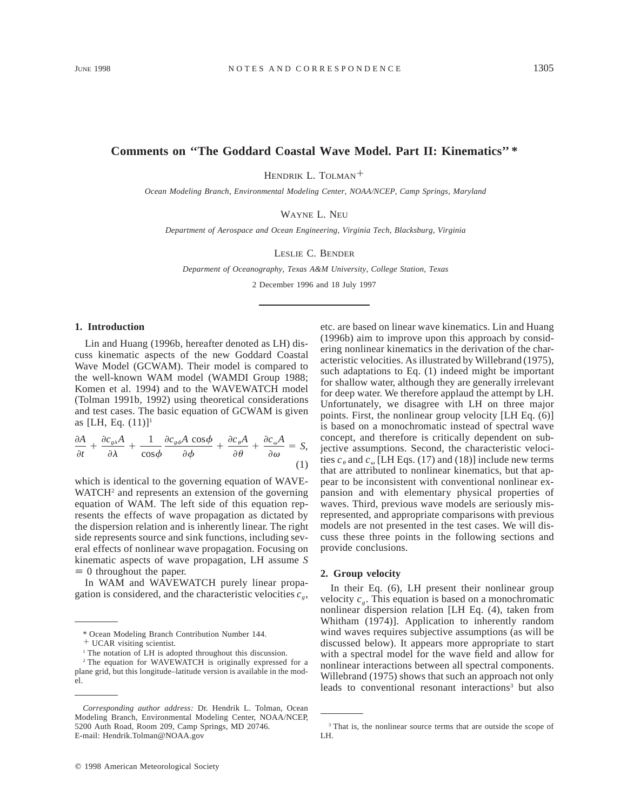# **Comments on ''The Goddard Coastal Wave Model. Part II: Kinematics'' \***

HENDRIK L. TOLMAN<sup>+</sup>

*Ocean Modeling Branch, Environmental Modeling Center, NOAA/NCEP, Camp Springs, Maryland*

WAYNE L. NEU

*Department of Aerospace and Ocean Engineering, Virginia Tech, Blacksburg, Virginia*

LESLIE C. BENDER

*Deparment of Oceanography, Texas A&M University, College Station, Texas*

2 December 1996 and 18 July 1997

## **1. Introduction**

Lin and Huang (1996b, hereafter denoted as LH) discuss kinematic aspects of the new Goddard Coastal Wave Model (GCWAM). Their model is compared to the well-known WAM model (WAMDI Group 1988; Komen et al. 1994) and to the WAVEWATCH model (Tolman 1991b, 1992) using theoretical considerations and test cases. The basic equation of GCWAM is given as [LH, Eq.  $(11)$ ]<sup>1</sup>

$$
\frac{\partial A}{\partial t} + \frac{\partial c_{g\lambda}A}{\partial \lambda} + \frac{1}{\cos\phi} \frac{\partial c_{g\phi}A \cos\phi}{\partial \phi} + \frac{\partial c_{\theta}A}{\partial \theta} + \frac{\partial c_{\omega}A}{\partial \omega} = S,
$$
\n(1)

which is identical to the governing equation of WAVE-WATCH<sup>2</sup> and represents an extension of the governing equation of WAM. The left side of this equation represents the effects of wave propagation as dictated by the dispersion relation and is inherently linear. The right side represents source and sink functions, including several effects of nonlinear wave propagation. Focusing on kinematic aspects of wave propagation, LH assume *S*  $\equiv$  0 throughout the paper.

In WAM and WAVEWATCH purely linear propagation is considered, and the characteristic velocities  $c_{\rho}$ ,

 $©$  1998 American Meteorological Society

etc. are based on linear wave kinematics. Lin and Huang (1996b) aim to improve upon this approach by considering nonlinear kinematics in the derivation of the characteristic velocities. As illustrated by Willebrand (1975), such adaptations to Eq. (1) indeed might be important for shallow water, although they are generally irrelevant for deep water. We therefore applaud the attempt by LH. Unfortunately, we disagree with LH on three major points. First, the nonlinear group velocity [LH Eq. (6)] is based on a monochromatic instead of spectral wave concept, and therefore is critically dependent on subjective assumptions. Second, the characteristic velocities  $c_{\theta}$  and  $c_{\omega}$  [LH Eqs. (17) and (18)] include new terms that are attributed to nonlinear kinematics, but that appear to be inconsistent with conventional nonlinear expansion and with elementary physical properties of waves. Third, previous wave models are seriously misrepresented, and appropriate comparisons with previous models are not presented in the test cases. We will discuss these three points in the following sections and provide conclusions.

### **2. Group velocity**

In their Eq. (6), LH present their nonlinear group velocity  $c_{\varrho}$ . This equation is based on a monochromatic nonlinear dispersion relation [LH Eq. (4), taken from Whitham (1974)]. Application to inherently random wind waves requires subjective assumptions (as will be discussed below). It appears more appropriate to start with a spectral model for the wave field and allow for nonlinear interactions between all spectral components. Willebrand (1975) shows that such an approach not only leads to conventional resonant interactions<sup>3</sup> but also

<sup>\*</sup> Ocean Modeling Branch Contribution Number 144.

<sup>&</sup>lt;sup>+</sup> UCAR visiting scientist.

<sup>&</sup>lt;sup>1</sup> The notation of LH is adopted throughout this discussion.

<sup>2</sup> The equation for WAVEWATCH is originally expressed for a plane grid, but this longitude–latitude version is available in the model.

*Corresponding author address:* Dr. Hendrik L. Tolman, Ocean Modeling Branch, Environmental Modeling Center, NOAA/NCEP, 5200 Auth Road, Room 209, Camp Springs, MD 20746. E-mail: Hendrik.Tolman@NOAA.gov

<sup>&</sup>lt;sup>3</sup> That is, the nonlinear source terms that are outside the scope of LH.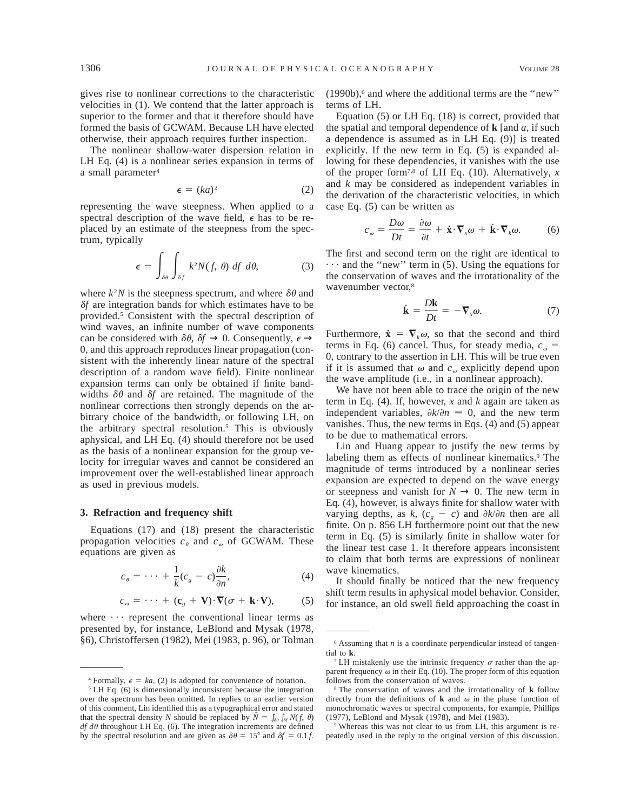gives rise to nonlinear corrections to the characteristic velocities in (1). We contend that the latter approach is superior to the former and that it therefore should have formed the basis of GCWAM. Because LH have elected otherwise, their approach requires further inspection.

The nonlinear shallow-water dispersion relation in LH Eq. (4) is a nonlinear series expansion in terms of a small parameter<sup>4</sup>

$$
\epsilon = (ka)^2 \tag{2}
$$

representing the wave steepness. When applied to a spectral description of the wave field,  $\epsilon$  has to be replaced by an estimate of the steepness from the spectrum, typically

$$
\epsilon = \int_{\delta\theta} \int_{\delta f} k^2 N(f, \theta) \, df \, d\theta, \tag{3}
$$

where  $k^2N$  is the steepness spectrum, and where  $\delta\theta$  and <sup>d</sup>*f* are integration bands for which estimates have to be provided.5 Consistent with the spectral description of wind waves, an infinite number of wave components can be considered with  $\delta\theta$ ,  $\delta f \rightarrow 0$ . Consequently,  $\epsilon \rightarrow$ 0, and this approach reproduces linear propagation (consistent with the inherently linear nature of the spectral description of a random wave field). Finite nonlinear expansion terms can only be obtained if finite bandwidths  $\delta\theta$  and  $\delta f$  are retained. The magnitude of the nonlinear corrections then strongly depends on the arbitrary choice of the bandwidth, or following LH, on the arbitrary spectral resolution.5 This is obviously aphysical, and LH Eq. (4) should therefore not be used as the basis of a nonlinear expansion for the group velocity for irregular waves and cannot be considered an improvement over the well-established linear approach as used in previous models.

## **3. Refraction and frequency shift**

Equations (17) and (18) present the characteristic propagation velocities  $c_{\theta}$  and  $c_{\omega}$  of GCWAM. These equations are given as

$$
c_{\theta} = \dots + \frac{1}{k}(c_{g} - c)\frac{\partial k}{\partial n}, \tag{4}
$$

 $c_{\omega} = \cdots + (\mathbf{c}_{g} + \mathbf{V}) \cdot \nabla (\sigma + \mathbf{k} \cdot \mathbf{V}),$  (5)

where  $\cdots$  represent the conventional linear terms as presented by, for instance, LeBlond and Mysak (1978, §6), Christoffersen (1982), Mei (1983, p. 96), or Tolman  $(1990b)$ ,<sup>6</sup> and where the additional terms are the "new" terms of LH.

Equation (5) or LH Eq. (18) is correct, provided that the spatial and temporal dependence of **k** [and *a,* if such a dependence is assumed as in LH Eq. (9)] is treated explicitly. If the new term in Eq. (5) is expanded allowing for these dependencies, it vanishes with the use of the proper form7,8 of LH Eq. (10). Alternatively, *x* and *k* may be considered as independent variables in the derivation of the characteristic velocities, in which case Eq. (5) can be written as

$$
c_{\omega} = \frac{D\omega}{Dt} = \frac{\partial\omega}{\partial t} + \dot{\mathbf{x}} \cdot \nabla_x \omega + \dot{\mathbf{k}} \cdot \nabla_k \omega. \tag{6}
$$

The first and second term on the right are identical to  $\cdots$  and the "new" term in (5). Using the equations for the conservation of waves and the irrotationality of the wavenumber vector,<sup>8</sup>

$$
\dot{\mathbf{k}} = \frac{D\mathbf{k}}{Dt} = -\nabla_x \omega.
$$
 (7)

Furthermore,  $\dot{\mathbf{x}} = \nabla_k \omega$ , so that the second and third terms in Eq. (6) cancel. Thus, for steady media,  $c_{\omega}$  = 0, contrary to the assertion in LH. This will be true even if it is assumed that  $\omega$  and  $c_{\omega}$  explicitly depend upon the wave amplitude (i.e., in a nonlinear approach).

We have not been able to trace the origin of the new term in Eq. (4). If, however, *x* and *k* again are taken as independent variables,  $\partial k/\partial n = 0$ , and the new term vanishes. Thus, the new terms in Eqs. (4) and (5) appear to be due to mathematical errors.

Lin and Huang appear to justify the new terms by labeling them as effects of nonlinear kinematics.<sup>9</sup> The magnitude of terms introduced by a nonlinear series expansion are expected to depend on the wave energy or steepness and vanish for  $N \to 0$ . The new term in Eq. (4), however, is always finite for shallow water with varying depths, as *k*,  $(c_g - c)$  and  $\partial k / \partial n$  then are all finite. On p. 856 LH furthermore point out that the new term in Eq. (5) is similarly finite in shallow water for the linear test case 1. It therefore appears inconsistent to claim that both terms are expressions of nonlinear wave kinematics.

It should finally be noticed that the new frequency shift term results in aphysical model behavior. Consider, for instance, an old swell field approaching the coast in

<sup>&</sup>lt;sup>4</sup> Formally,  $\epsilon = ka$ , (2) is adopted for convenience of notation.

<sup>5</sup> LH Eq. (6) is dimensionally inconsistent because the integration over the spectrum has been omitted. In replies to an earlier version of this comment, Lin identified this as a typographical error and stated that the spectral density *N* should be replaced by  $\hat{N} = \int_{\delta\theta} \int_{\delta f} N(f, \theta)$  $df d\theta$  throughout LH Eq. (6). The integration increments are defined by the spectral resolution and are given as  $\delta \theta = 15^{\circ}$  and  $\delta f = 0.1 f$ .

 $6$  Assuming that  $n$  is a coordinate perpendicular instead of tangential to **k**.

<sup>&</sup>lt;sup>7</sup> LH mistakenly use the intrinsic frequency  $\sigma$  rather than the apparent frequency  $\omega$  in their Eq. (10). The proper form of this equation follows from the conservation of waves.

<sup>8</sup> The conservation of waves and the irrotationality of **k** follow directly from the definitions of **k** and  $\omega$  in the phase function of monochromatic waves or spectral components, for example, Phillips (1977), LeBlond and Mysak (1978), and Mei (1983).

<sup>9</sup> Whereas this was not clear to us from LH, this argument is repeatedly used in the reply to the original version of this discussion.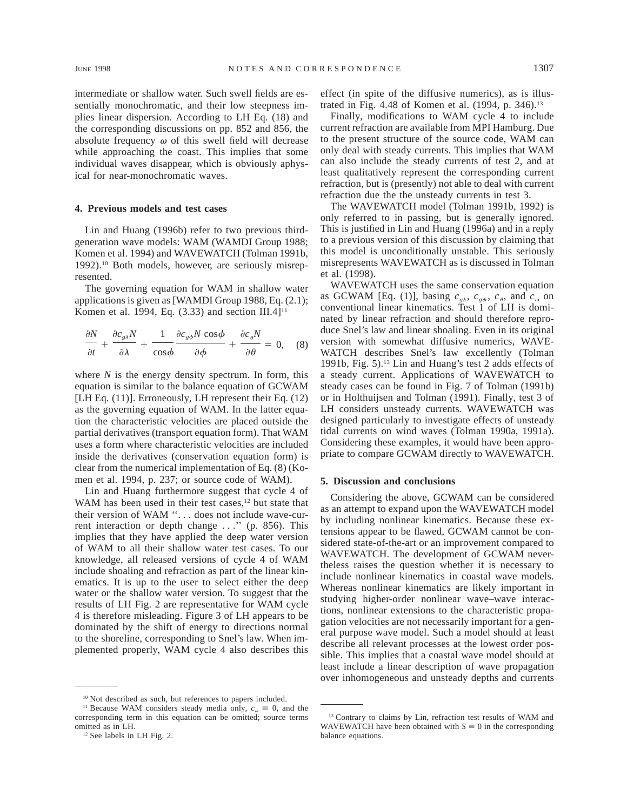intermediate or shallow water. Such swell fields are essentially monochromatic, and their low steepness implies linear dispersion. According to LH Eq. (18) and the corresponding discussions on pp. 852 and 856, the absolute frequency  $\omega$  of this swell field will decrease while approaching the coast. This implies that some individual waves disappear, which is obviously aphysical for near-monochromatic waves.

## **4. Previous models and test cases**

Lin and Huang (1996b) refer to two previous thirdgeneration wave models: WAM (WAMDI Group 1988; Komen et al. 1994) and WAVEWATCH (Tolman 1991b, 1992).10 Both models, however, are seriously misrepresented.

The governing equation for WAM in shallow water applications is given as [WAMDI Group 1988, Eq. (2.1); Komen et al. 1994, Eq.  $(3.33)$  and section III.4]<sup>11</sup>

$$
\frac{\partial N}{\partial t} + \frac{\partial c_{g\lambda} N}{\partial \lambda} + \frac{1}{\cos \phi} \frac{\partial c_{g\phi} N \cos \phi}{\partial \phi} + \frac{\partial c_{\theta} N}{\partial \theta} = 0, \quad (8)
$$

where  $N$  is the energy density spectrum. In form, this equation is similar to the balance equation of GCWAM [LH Eq. (11)]. Erroneously, LH represent their Eq. (12) as the governing equation of WAM. In the latter equation the characteristic velocities are placed outside the partial derivatives (transport equation form). That WAM uses a form where characteristic velocities are included inside the derivatives (conservation equation form) is clear from the numerical implementation of Eq. (8) (Komen et al. 1994, p. 237; or source code of WAM).

Lin and Huang furthermore suggest that cycle 4 of WAM has been used in their test cases,<sup>12</sup> but state that their version of WAM ''. . . does not include wave-current interaction or depth change . . .'' (p. 856). This implies that they have applied the deep water version of WAM to all their shallow water test cases. To our knowledge, all released versions of cycle 4 of WAM include shoaling and refraction as part of the linear kinematics. It is up to the user to select either the deep water or the shallow water version. To suggest that the results of LH Fig. 2 are representative for WAM cycle 4 is therefore misleading. Figure 3 of LH appears to be dominated by the shift of energy to directions normal to the shoreline, corresponding to Snel's law. When implemented properly, WAM cycle 4 also describes this

<sup>10</sup> Not described as such, but references to papers included.

effect (in spite of the diffusive numerics), as is illustrated in Fig. 4.48 of Komen et al. (1994, p. 346).<sup>13</sup>

Finally, modifications to WAM cycle 4 to include current refraction are available from MPI Hamburg. Due to the present structure of the source code, WAM can only deal with steady currents. This implies that WAM can also include the steady currents of test 2, and at least qualitatively represent the corresponding current refraction, but is (presently) not able to deal with current refraction due the the unsteady currents in test 3.

The WAVEWATCH model (Tolman 1991b, 1992) is only referred to in passing, but is generally ignored. This is justified in Lin and Huang (1996a) and in a reply to a previous version of this discussion by claiming that this model is unconditionally unstable. This seriously misrepresents WAVEWATCH as is discussed in Tolman et al. (1998).

WAVEWATCH uses the same conservation equation as GCWAM [Eq. (1)], basing  $c_{g\lambda}$ ,  $c_{g\phi}$ ,  $c_{\theta}$ , and  $c_{\omega}$  on conventional linear kinematics. Test 1 of LH is dominated by linear refraction and should therefore reproduce Snel's law and linear shoaling. Even in its original version with somewhat diffusive numerics, WAVE-WATCH describes Snel's law excellently (Tolman 1991b, Fig. 5).13 Lin and Huang's test 2 adds effects of a steady current. Applications of WAVEWATCH to steady cases can be found in Fig. 7 of Tolman (1991b) or in Holthuijsen and Tolman (1991). Finally, test 3 of LH considers unsteady currents. WAVEWATCH was designed particularly to investigate effects of unsteady tidal currents on wind waves (Tolman 1990a, 1991a). Considering these examples, it would have been appropriate to compare GCWAM directly to WAVEWATCH.

## **5. Discussion and conclusions**

Considering the above, GCWAM can be considered as an attempt to expand upon the WAVEWATCH model by including nonlinear kinematics. Because these extensions appear to be flawed, GCWAM cannot be considered state-of-the-art or an improvement compared to WAVEWATCH. The development of GCWAM nevertheless raises the question whether it is necessary to include nonlinear kinematics in coastal wave models. Whereas nonlinear kinematics are likely important in studying higher-order nonlinear wave–wave interactions, nonlinear extensions to the characteristic propagation velocities are not necessarily important for a general purpose wave model. Such a model should at least describe all relevant processes at the lowest order possible. This implies that a coastal wave model should at least include a linear description of wave propagation over inhomogeneous and unsteady depths and currents

<sup>&</sup>lt;sup>11</sup> Because WAM considers steady media only,  $c_{\omega} \equiv 0$ , and the corresponding term in this equation can be omitted; source terms omitted as in LH.

<sup>12</sup> See labels in LH Fig. 2.

<sup>13</sup> Contrary to claims by Lin, refraction test results of WAM and WAVEWATCH have been obtained with  $S \equiv 0$  in the corresponding balance equations.